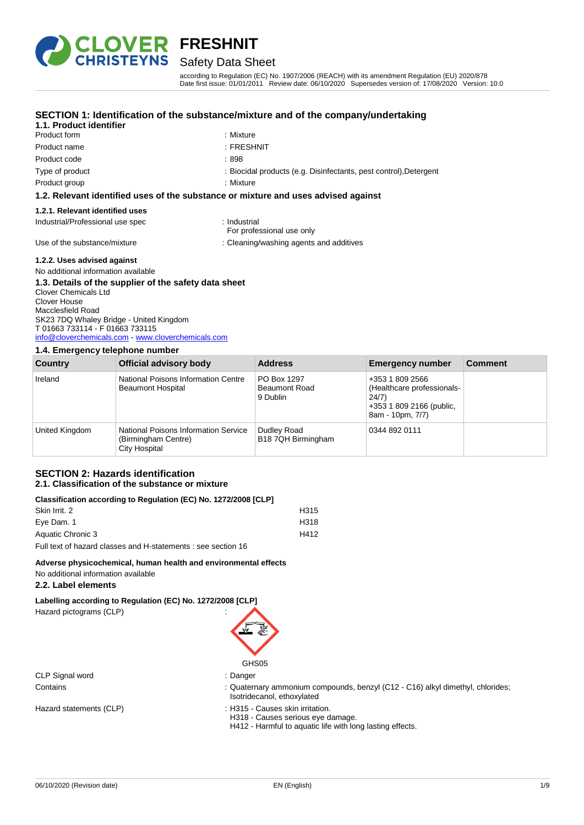

## Safety Data Sheet

according to Regulation (EC) No. 1907/2006 (REACH) with its amendment Regulation (EU) 2020/878 Date first issue: 01/01/2011 Review date: 06/10/2020 Supersedes version of: 17/08/2020 Version: 10.0

#### **SECTION 1: Identification of the substance/mixture and of the company/undertaking**

#### **1.1. Product identifier**

- Product form **: Mixture** : Mixture Product name : FRESHNIT Product code : 898 Type of product : Biocidal products (e.g. Disinfectants, pest control), Detergent
	-
	-
	-

Product group **: Mixture** : Mixture

#### **1.2. Relevant identified uses of the substance or mixture and uses advised against**

#### **1.2.1. Relevant identified uses**

Industrial/Professional use spec : Industrial

For professional use only

Use of the substance/mixture in the substance/mixture : Cleaning/washing agents and additives

#### **1.2.2. Uses advised against**

No additional information available

#### **1.3. Details of the supplier of the safety data sheet**

Clover Chemicals Ltd Clover House Macclesfield Road SK23 7DQ Whaley Bridge - United Kingdom T 01663 733114 - F 01663 733115 [info@cloverchemicals.com](mailto:info@cloverchemicals.com) - <www.cloverchemicals.com>

#### **1.4. Emergency telephone number**

| Country        | Official advisory body                                                              | <b>Address</b>                                  | <b>Emergency number</b>                                                                                | <b>Comment</b> |
|----------------|-------------------------------------------------------------------------------------|-------------------------------------------------|--------------------------------------------------------------------------------------------------------|----------------|
| Ireland        | National Poisons Information Centre<br><b>Beaumont Hospital</b>                     | PO Box 1297<br><b>Beaumont Road</b><br>9 Dublin | +353 1 809 2566<br>(Healthcare professionals-<br>24/7)<br>+353 1 809 2166 (public,<br>8am - 10pm, 7/7) |                |
| United Kingdom | <b>National Poisons Information Service</b><br>(Birmingham Centre)<br>City Hospital | Dudley Road<br>B18 7QH Birmingham               | 0344 892 0111                                                                                          |                |

#### **SECTION 2: Hazards identification 2.1. Classification of the substance or mixture**

| Classification according to Regulation (EC) No. 1272/2008 [CLP] |      |  |
|-----------------------------------------------------------------|------|--|
| Skin Irrit, 2                                                   | H315 |  |
| Eve Dam, 1                                                      | H318 |  |
| Aquatic Chronic 3                                               | H412 |  |

Full text of hazard classes and H-statements : see section 16

#### **Adverse physicochemical, human health and environmental effects**

No additional information available

#### **2.2. Label elements**

**Labelling according to Regulation (EC) No. 1272/2008 [CLP]**

Hazard pictograms (CLP) :



CLP Signal word : Danger

Contains : Quaternary ammonium compounds, benzyl (C12 - C16) alkyl dimethyl, chlorides; Isotridecanol, ethoxylated

Hazard statements (CLP) : H315 - Causes skin irritation.

H318 - Causes serious eye damage.

H412 - Harmful to aquatic life with long lasting effects.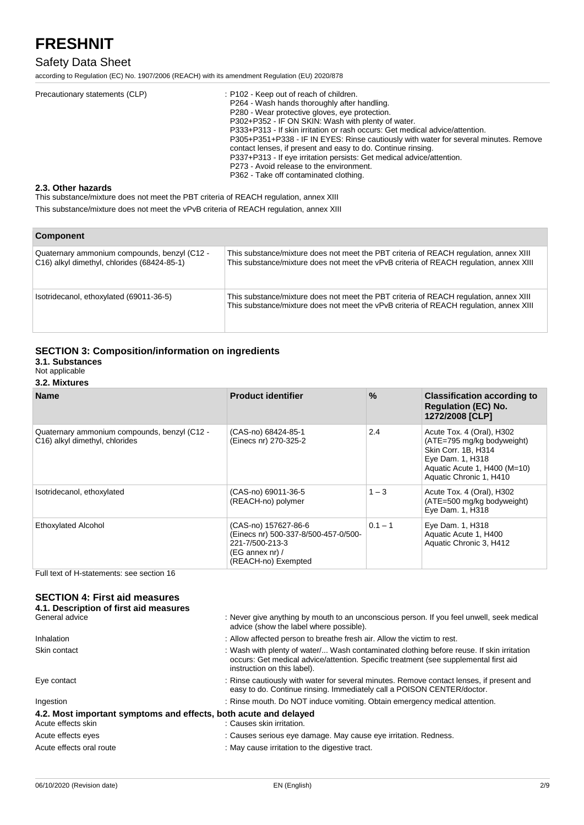## Safety Data Sheet

according to Regulation (EC) No. 1907/2006 (REACH) with its amendment Regulation (EU) 2020/878

| Precautionary statements (CLP) | : P102 - Keep out of reach of children.                                              |
|--------------------------------|--------------------------------------------------------------------------------------|
|                                | P264 - Wash hands thoroughly after handling.                                         |
|                                | P280 - Wear protective gloves, eve protection.                                       |
|                                | P302+P352 - IF ON SKIN: Wash with plenty of water.                                   |
|                                | P333+P313 - If skin irritation or rash occurs: Get medical advice/attention.         |
|                                | P305+P351+P338 - IF IN EYES: Rinse cautiously with water for several minutes. Remove |
|                                | contact lenses, if present and easy to do. Continue rinsing.                         |
|                                | P337+P313 - If eye irritation persists: Get medical advice/attention.                |
|                                | P273 - Avoid release to the environment.                                             |
|                                | P362 - Take off contaminated clothing.                                               |

#### **2.3. Other hazards**

This substance/mixture does not meet the PBT criteria of REACH regulation, annex XIII

This substance/mixture does not meet the vPvB criteria of REACH regulation, annex XIII

| <b>Component</b>                                                                            |                                                                                                                                                                                 |
|---------------------------------------------------------------------------------------------|---------------------------------------------------------------------------------------------------------------------------------------------------------------------------------|
| Quaternary ammonium compounds, benzyl (C12 -<br>C16) alkyl dimethyl, chlorides (68424-85-1) | This substance/mixture does not meet the PBT criteria of REACH regulation, annex XIII<br>This substance/mixture does not meet the vPvB criteria of REACH regulation, annex XIII |
| Isotridecanol, ethoxylated (69011-36-5)                                                     | This substance/mixture does not meet the PBT criteria of REACH regulation, annex XIII<br>This substance/mixture does not meet the vPvB criteria of REACH regulation, annex XIII |

#### **SECTION 3: Composition/information on ingredients**

**3.1. Substances**

Not applicable

#### **3.2. Mixtures**

| <b>Name</b>                                                                    | <b>Product identifier</b>                                                                                                     | $\%$      | <b>Classification according to</b><br><b>Regulation (EC) No.</b><br>1272/2008 [CLP]                                                                           |
|--------------------------------------------------------------------------------|-------------------------------------------------------------------------------------------------------------------------------|-----------|---------------------------------------------------------------------------------------------------------------------------------------------------------------|
| Quaternary ammonium compounds, benzyl (C12 -<br>C16) alkyl dimethyl, chlorides | (CAS-no) 68424-85-1<br>(Einecs nr) 270-325-2                                                                                  | 2.4       | Acute Tox. 4 (Oral), H302<br>(ATE=795 mg/kg bodyweight)<br>Skin Corr. 1B, H314<br>Eye Dam. 1, H318<br>Aquatic Acute 1, H400 (M=10)<br>Aquatic Chronic 1, H410 |
| Isotridecanol, ethoxylated                                                     | (CAS-no) 69011-36-5<br>(REACH-no) polymer                                                                                     | $1 - 3$   | Acute Tox. 4 (Oral), H302<br>(ATE=500 mg/kg bodyweight)<br>Eye Dam. 1, H318                                                                                   |
| <b>Ethoxylated Alcohol</b>                                                     | (CAS-no) 157627-86-6<br>(Einecs nr) 500-337-8/500-457-0/500-<br>221-7/500-213-3<br>$(EG \nannex nr) /$<br>(REACH-no) Exempted | $0.1 - 1$ | Eye Dam. 1, H318<br>Aquatic Acute 1, H400<br>Aquatic Chronic 3, H412                                                                                          |

Full text of H-statements: see section 16

#### **SECTION 4: First aid measures 4.1. Description of first aid measures**

| General advice                                                   | : Never give anything by mouth to an unconscious person. If you feel unwell, seek medical<br>advice (show the label where possible).                                                                            |
|------------------------------------------------------------------|-----------------------------------------------------------------------------------------------------------------------------------------------------------------------------------------------------------------|
| Inhalation                                                       | : Allow affected person to breathe fresh air. Allow the victim to rest.                                                                                                                                         |
| Skin contact                                                     | : Wash with plenty of water/ Wash contaminated clothing before reuse. If skin irritation<br>occurs: Get medical advice/attention. Specific treatment (see supplemental first aid<br>instruction on this label). |
| Eye contact                                                      | : Rinse cautiously with water for several minutes. Remove contact lenses, if present and<br>easy to do. Continue rinsing. Immediately call a POISON CENTER/doctor.                                              |
| Ingestion                                                        | : Rinse mouth. Do NOT induce vomiting. Obtain emergency medical attention.                                                                                                                                      |
| 4.2. Most important symptoms and effects, both acute and delayed |                                                                                                                                                                                                                 |
| Acute effects skin                                               | : Causes skin irritation.                                                                                                                                                                                       |
| Acute effects eyes                                               | : Causes serious eye damage. May cause eye irritation. Redness.                                                                                                                                                 |
| Acute effects oral route                                         | : May cause irritation to the digestive tract.                                                                                                                                                                  |
|                                                                  |                                                                                                                                                                                                                 |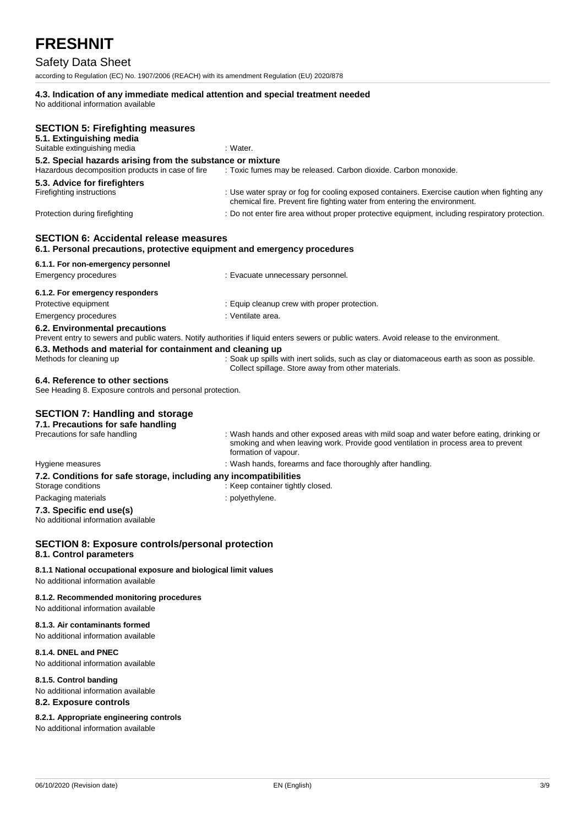### Safety Data Sheet

according to Regulation (EC) No. 1907/2006 (REACH) with its amendment Regulation (EU) 2020/878

#### **4.3. Indication of any immediate medical attention and special treatment needed**

No additional information available

| <b>SECTION 5: Firefighting measures</b><br>5.1. Extinguishing media<br>Suitable extinguishing media                       | : Water.                                                                                                                                                                                               |
|---------------------------------------------------------------------------------------------------------------------------|--------------------------------------------------------------------------------------------------------------------------------------------------------------------------------------------------------|
|                                                                                                                           |                                                                                                                                                                                                        |
| 5.2. Special hazards arising from the substance or mixture<br>Hazardous decomposition products in case of fire            | : Toxic fumes may be released. Carbon dioxide. Carbon monoxide.                                                                                                                                        |
| 5.3. Advice for firefighters                                                                                              |                                                                                                                                                                                                        |
| Firefighting instructions                                                                                                 | : Use water spray or fog for cooling exposed containers. Exercise caution when fighting any<br>chemical fire. Prevent fire fighting water from entering the environment.                               |
| Protection during firefighting                                                                                            | : Do not enter fire area without proper protective equipment, including respiratory protection.                                                                                                        |
| <b>SECTION 6: Accidental release measures</b><br>6.1. Personal precautions, protective equipment and emergency procedures |                                                                                                                                                                                                        |
| 6.1.1. For non-emergency personnel                                                                                        |                                                                                                                                                                                                        |
| <b>Emergency procedures</b>                                                                                               | : Evacuate unnecessary personnel.                                                                                                                                                                      |
|                                                                                                                           |                                                                                                                                                                                                        |
| 6.1.2. For emergency responders                                                                                           |                                                                                                                                                                                                        |
| Protective equipment                                                                                                      | : Equip cleanup crew with proper protection.                                                                                                                                                           |
| Emergency procedures                                                                                                      | : Ventilate area.                                                                                                                                                                                      |
| 6.2. Environmental precautions                                                                                            | Prevent entry to sewers and public waters. Notify authorities if liquid enters sewers or public waters. Avoid release to the environment.                                                              |
| 6.3. Methods and material for containment and cleaning up<br>Methods for cleaning up                                      | : Soak up spills with inert solids, such as clay or diatomaceous earth as soon as possible.                                                                                                            |
|                                                                                                                           | Collect spillage. Store away from other materials.                                                                                                                                                     |
| 6.4. Reference to other sections<br>See Heading 8. Exposure controls and personal protection.                             |                                                                                                                                                                                                        |
| <b>SECTION 7: Handling and storage</b>                                                                                    |                                                                                                                                                                                                        |
| 7.1. Precautions for safe handling                                                                                        |                                                                                                                                                                                                        |
| Precautions for safe handling                                                                                             | : Wash hands and other exposed areas with mild soap and water before eating, drinking or<br>smoking and when leaving work. Provide good ventilation in process area to prevent<br>formation of vapour. |
| Hygiene measures                                                                                                          | : Wash hands, forearms and face thoroughly after handling.                                                                                                                                             |
| 7.2. Conditions for safe storage, including any incompatibilities<br>Storage conditions                                   | : Keep container tightly closed.                                                                                                                                                                       |
| Packaging materials                                                                                                       | : polyethylene.                                                                                                                                                                                        |
| 7.3. Specific end use(s)<br>No additional information available                                                           |                                                                                                                                                                                                        |
| <b>SECTION 8: Exposure controls/personal protection</b><br>8.1. Control parameters                                        |                                                                                                                                                                                                        |
| 8.1.1 National occupational exposure and biological limit values<br>No additional information available                   |                                                                                                                                                                                                        |
| 8.1.2. Recommended monitoring procedures<br>No additional information available                                           |                                                                                                                                                                                                        |
| 8.1.3. Air contaminants formed<br>No additional information available                                                     |                                                                                                                                                                                                        |
| 8.1.4. DNEL and PNEC<br>No additional information available                                                               |                                                                                                                                                                                                        |
| 8.1.5. Control banding<br>No additional information available<br>8.2. Exposure controls                                   |                                                                                                                                                                                                        |

### **8.2.1. Appropriate engineering controls**

No additional information available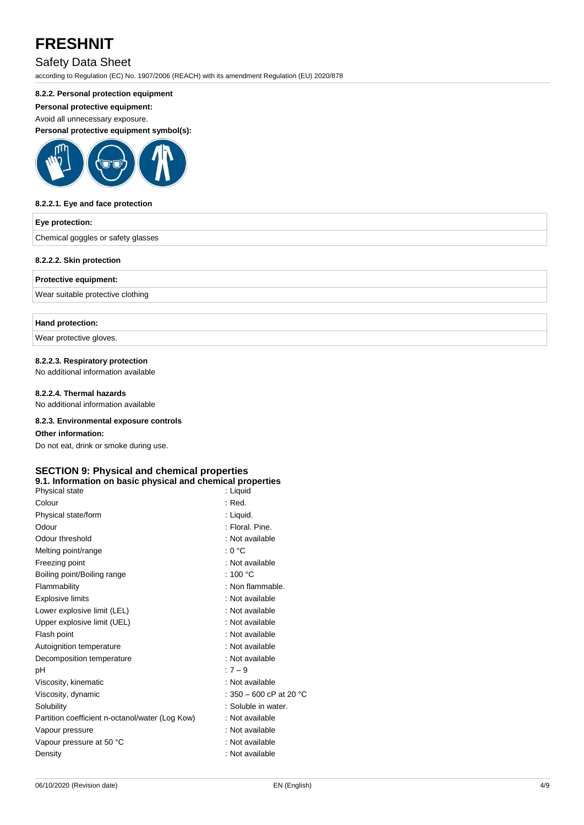### Safety Data Sheet

according to Regulation (EC) No. 1907/2006 (REACH) with its amendment Regulation (EU) 2020/878

#### **8.2.2. Personal protection equipment**

#### **Personal protective equipment:**

#### Avoid all unnecessary exposure.

**Personal protective equipment symbol(s):**



#### **8.2.2.1. Eye and face protection**

| Eye protection:                    |  |
|------------------------------------|--|
| Chemical goggles or safety glasses |  |
|                                    |  |

#### **8.2.2.2. Skin protection**

#### **Protective equipment:**

Wear suitable protective clothing

#### **Hand protection:**

Wear protective gloves.

#### **8.2.2.3. Respiratory protection**

No additional information available

#### **8.2.2.4. Thermal hazards**

No additional information available

#### **8.2.3. Environmental exposure controls**

#### **Other information:**

Do not eat, drink or smoke during use.

### **SECTION 9: Physical and chemical properties**

#### **9.1. Information on basic physical and chemical properties**

| Physical state                                  | : Liquid                |
|-------------------------------------------------|-------------------------|
| Colour                                          | $:$ Red.                |
| Physical state/form                             | : Liquid.               |
| Odour                                           | : Floral, Pine.         |
| Odour threshold                                 | : Not available         |
| Melting point/range                             | : 0 °C                  |
| Freezing point                                  | : Not available         |
| Boiling point/Boiling range                     | : 100 $^{\circ}$ C      |
| Flammability                                    | : Non flammable.        |
| <b>Explosive limits</b>                         | : Not available         |
| Lower explosive limit (LEL)                     | : Not available         |
| Upper explosive limit (UEL)                     | : Not available         |
| Flash point                                     | : Not available         |
| Autoignition temperature                        | : Not available         |
| Decomposition temperature                       | : Not available         |
| рH                                              | $:7 - 9$                |
| Viscosity, kinematic                            | : Not available         |
| Viscosity, dynamic                              | : 350 – 600 cP at 20 °C |
| Solubility                                      | : Soluble in water.     |
| Partition coefficient n-octanol/water (Log Kow) | : Not available         |
| Vapour pressure                                 | : Not available         |
| Vapour pressure at 50 °C                        | : Not available         |
| Density                                         | : Not available         |
|                                                 |                         |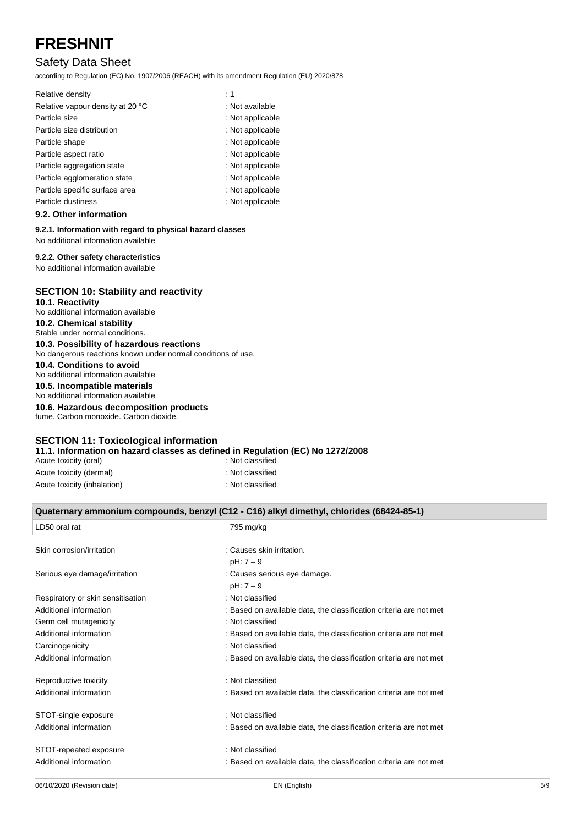## Safety Data Sheet

according to Regulation (EC) No. 1907/2006 (REACH) with its amendment Regulation (EU) 2020/878

| Relative density                 | $\div$ 1         |
|----------------------------------|------------------|
| Relative vapour density at 20 °C | : Not available  |
| Particle size                    | : Not applicable |
| Particle size distribution       | : Not applicable |
| Particle shape                   | : Not applicable |
| Particle aspect ratio            | : Not applicable |
| Particle aggregation state       | : Not applicable |
| Particle agglomeration state     | : Not applicable |
| Particle specific surface area   | : Not applicable |
| Particle dustiness               | : Not applicable |

#### **9.2. Other information**

#### **9.2.1. Information with regard to physical hazard classes** No additional information available

## **9.2.2. Other safety characteristics**

No additional information available

#### **SECTION 10: Stability and reactivity**

#### **10.1. Reactivity** No additional information available **10.2. Chemical stability** Stable under normal conditions. **10.3. Possibility of hazardous reactions** No dangerous reactions known under normal conditions of use. **10.4. Conditions to avoid** No additional information available **10.5. Incompatible materials** No additional information available **10.6. Hazardous decomposition products**

fume. Carbon monoxide. Carbon dioxide.

#### **SECTION 11: Toxicological information**

**11.1. Information on hazard classes as defined in Regulation (EC) No 1272/2008**

| Acute toxicity (oral)       | : Not classified |
|-----------------------------|------------------|
| Acute toxicity (dermal)     | : Not classified |
| Acute toxicity (inhalation) | : Not classified |

| Quaternary ammonium compounds, benzyl (C12 - C16) alkyl dimethyl, chlorides (68424-85-1) |                                                                    |  |  |
|------------------------------------------------------------------------------------------|--------------------------------------------------------------------|--|--|
| LD50 oral rat                                                                            | 795 mg/kg                                                          |  |  |
|                                                                                          |                                                                    |  |  |
| Skin corrosion/irritation                                                                | : Causes skin irritation.                                          |  |  |
|                                                                                          | $pH: 7 - 9$                                                        |  |  |
| Serious eye damage/irritation                                                            | : Causes serious eye damage.                                       |  |  |
|                                                                                          | $pH: 7 - 9$                                                        |  |  |
| Respiratory or skin sensitisation                                                        | : Not classified                                                   |  |  |
| Additional information                                                                   | : Based on available data, the classification criteria are not met |  |  |
| Germ cell mutagenicity                                                                   | : Not classified                                                   |  |  |
| Additional information                                                                   | : Based on available data, the classification criteria are not met |  |  |
| Carcinogenicity                                                                          | : Not classified                                                   |  |  |
| Additional information                                                                   | : Based on available data, the classification criteria are not met |  |  |
| Reproductive toxicity                                                                    | : Not classified                                                   |  |  |
| Additional information                                                                   | : Based on available data, the classification criteria are not met |  |  |
| STOT-single exposure                                                                     | : Not classified                                                   |  |  |
| Additional information                                                                   | : Based on available data, the classification criteria are not met |  |  |
| STOT-repeated exposure                                                                   | : Not classified                                                   |  |  |
| Additional information                                                                   | : Based on available data, the classification criteria are not met |  |  |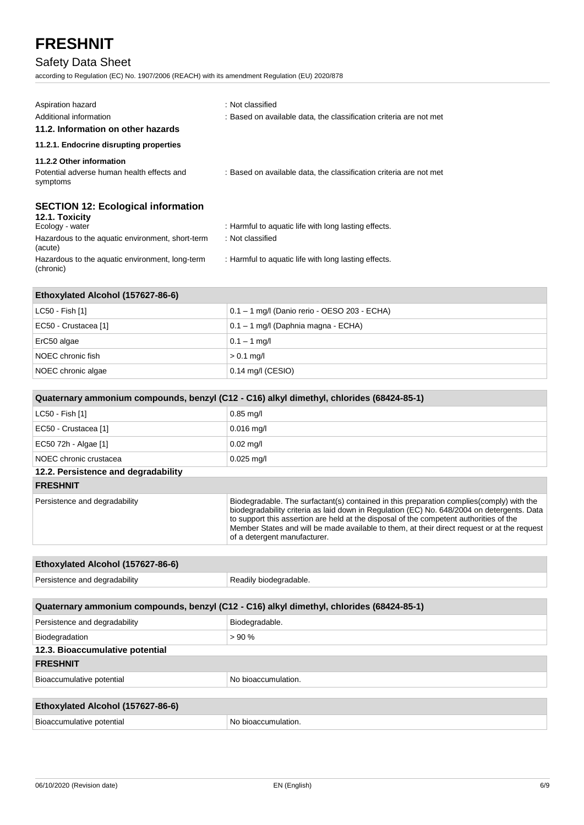## Safety Data Sheet

according to Regulation (EC) No. 1907/2006 (REACH) with its amendment Regulation (EU) 2020/878

| Aspiration hazard<br>Additional information<br>11.2. Information on other hazards<br>11.2.1. Endocrine disrupting properties                                                                                  | : Not classified<br>: Based on available data, the classification criteria are not met                                           |
|---------------------------------------------------------------------------------------------------------------------------------------------------------------------------------------------------------------|----------------------------------------------------------------------------------------------------------------------------------|
| 11.2.2 Other information<br>Potential adverse human health effects and<br>symptoms                                                                                                                            | : Based on available data, the classification criteria are not met                                                               |
| <b>SECTION 12: Ecological information</b><br>12.1. Toxicity<br>Ecology - water<br>Hazardous to the aquatic environment, short-term<br>(acute)<br>Hazardous to the aquatic environment, long-term<br>(chronic) | : Harmful to aquatic life with long lasting effects.<br>: Not classified<br>: Harmful to aquatic life with long lasting effects. |
| Fthoxylated Alcohol (157627-86-6)                                                                                                                                                                             |                                                                                                                                  |

| $L_{11}$ , $R_{12}$ , $R_{13}$ , $R_{14}$ , $R_{15}$ , $R_{16}$ , $R_{17}$ , $R_{18}$ , $R_{19}$ , $R_{10}$ |                                              |
|-------------------------------------------------------------------------------------------------------------|----------------------------------------------|
| LC50 - Fish [1]                                                                                             | 0.1 - 1 mg/l (Danio rerio - OESO 203 - ECHA) |
| EC50 - Crustacea [1]                                                                                        | $0.1 - 1$ mg/l (Daphnia magna - ECHA)        |
| ErC50 algae                                                                                                 | $0.1 - 1$ mg/                                |
| NOEC chronic fish                                                                                           | $> 0.1$ mg/l                                 |
| NOEC chronic algae                                                                                          | $0.14$ mg/l (CESIO)                          |

| Quaternary ammonium compounds, benzyl (C12 - C16) alkyl dimethyl, chlorides (68424-85-1) |                                                                                               |  |
|------------------------------------------------------------------------------------------|-----------------------------------------------------------------------------------------------|--|
| LC50 - Fish [1]                                                                          | $0.85$ mg/l                                                                                   |  |
| EC50 - Crustacea [1]                                                                     | $0.016$ mg/l                                                                                  |  |
| EC50 72h - Algae [1]                                                                     | $0.02$ mg/l                                                                                   |  |
| NOEC chronic crustacea                                                                   | $0.025$ mg/l                                                                                  |  |
| 12.2. Persistence and degradability                                                      |                                                                                               |  |
| <b>FRESHNIT</b>                                                                          |                                                                                               |  |
| Dereistense and degradability                                                            | $Diagonaloh [A]$ The ourfected $(a)$ contained in this preparation complies (comply) with the |  |

| Persistence and degradability | Biodegradable. The surfactant(s) contained in this preparation complies (comply) with the   |
|-------------------------------|---------------------------------------------------------------------------------------------|
|                               | biodegradability criteria as laid down in Regulation (EC) No. 648/2004 on detergents. Data  |
|                               | to support this assertion are held at the disposal of the competent authorities of the      |
|                               | Member States and will be made available to them, at their direct request or at the request |
|                               | of a detergent manufacturer.                                                                |
|                               |                                                                                             |

| Ethoxylated Alcohol (157627-86-6) |                        |
|-----------------------------------|------------------------|
| Persistence and degradability     | Readily biodegradable. |
|                                   |                        |

| Quaternary ammonium compounds, benzyl (C12 - C16) alkyl dimethyl, chlorides (68424-85-1) |                     |
|------------------------------------------------------------------------------------------|---------------------|
| Persistence and degradability                                                            | Biodegradable.      |
| Biodegradation                                                                           | >90%                |
| 12.3. Bioaccumulative potential                                                          |                     |
| <b>FRESHNIT</b>                                                                          |                     |
| Bioaccumulative potential                                                                | No bioaccumulation. |
|                                                                                          |                     |
| Ethoxylated Alcohol (157627-86-6)                                                        |                     |
| Bioaccumulative potential                                                                | No bioaccumulation. |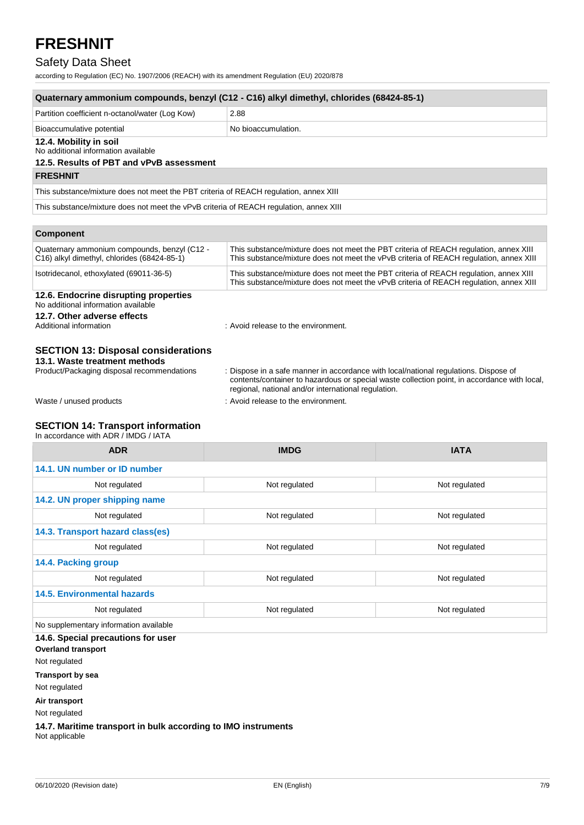### Safety Data Sheet

according to Regulation (EC) No. 1907/2006 (REACH) with its amendment Regulation (EU) 2020/878

| Quaternary ammonium compounds, benzyl (C12 - C16) alkyl dimethyl, chlorides (68424-85-1)                                              |                                                                                                                                                                                                                                           |  |
|---------------------------------------------------------------------------------------------------------------------------------------|-------------------------------------------------------------------------------------------------------------------------------------------------------------------------------------------------------------------------------------------|--|
| Partition coefficient n-octanol/water (Log Kow)                                                                                       | 2.88                                                                                                                                                                                                                                      |  |
| Bioaccumulative potential                                                                                                             | No bioaccumulation.                                                                                                                                                                                                                       |  |
| 12.4. Mobility in soil<br>No additional information available<br>12.5. Results of PBT and vPvB assessment                             |                                                                                                                                                                                                                                           |  |
| <b>FRESHNIT</b>                                                                                                                       |                                                                                                                                                                                                                                           |  |
| This substance/mixture does not meet the PBT criteria of REACH regulation, annex XIII                                                 |                                                                                                                                                                                                                                           |  |
| This substance/mixture does not meet the vPvB criteria of REACH regulation, annex XIII                                                |                                                                                                                                                                                                                                           |  |
|                                                                                                                                       |                                                                                                                                                                                                                                           |  |
| <b>Component</b>                                                                                                                      |                                                                                                                                                                                                                                           |  |
| Quaternary ammonium compounds, benzyl (C12 -<br>C16) alkyl dimethyl, chlorides (68424-85-1)                                           | This substance/mixture does not meet the PBT criteria of REACH regulation, annex XIII<br>This substance/mixture does not meet the vPvB criteria of REACH regulation, annex XIII                                                           |  |
| Isotridecanol, ethoxylated (69011-36-5)                                                                                               | This substance/mixture does not meet the PBT criteria of REACH regulation, annex XIII<br>This substance/mixture does not meet the vPvB criteria of REACH regulation, annex XIII                                                           |  |
| 12.6. Endocrine disrupting properties<br>No additional information available<br>12.7. Other adverse effects<br>Additional information | : Avoid release to the environment.                                                                                                                                                                                                       |  |
| <b>SECTION 13: Disposal considerations</b><br>13.1. Waste treatment methods<br>Product/Packaging disposal recommendations             | Dispose in a safe manner in accordance with local/national regulations. Dispose of<br>contents/container to hazardous or special waste collection point, in accordance with local,<br>regional, national and/or international regulation. |  |
| Waste / unused products                                                                                                               | : Avoid release to the environment.                                                                                                                                                                                                       |  |

### **SECTION 14: Transport information**

In accordance with ADR / IMDG / IATA

| <b>ADR</b>                             | <b>IMDG</b>   | <b>IATA</b>   |
|----------------------------------------|---------------|---------------|
| 14.1. UN number or ID number           |               |               |
| Not regulated                          | Not regulated | Not regulated |
| 14.2. UN proper shipping name          |               |               |
| Not regulated                          | Not regulated | Not regulated |
| 14.3. Transport hazard class(es)       |               |               |
| Not regulated                          | Not regulated | Not regulated |
| 14.4. Packing group                    |               |               |
| Not regulated                          | Not regulated | Not regulated |
| <b>14.5. Environmental hazards</b>     |               |               |
| Not regulated                          | Not regulated | Not regulated |
| No supplementary information available |               |               |
| 14.6. Special precautions for user     |               |               |
| <b>Overland transport</b>              |               |               |

Not regulated

**Transport by sea**

Not regulated

**Air transport**

Not regulated

**14.7. Maritime transport in bulk according to IMO instruments**

Not applicable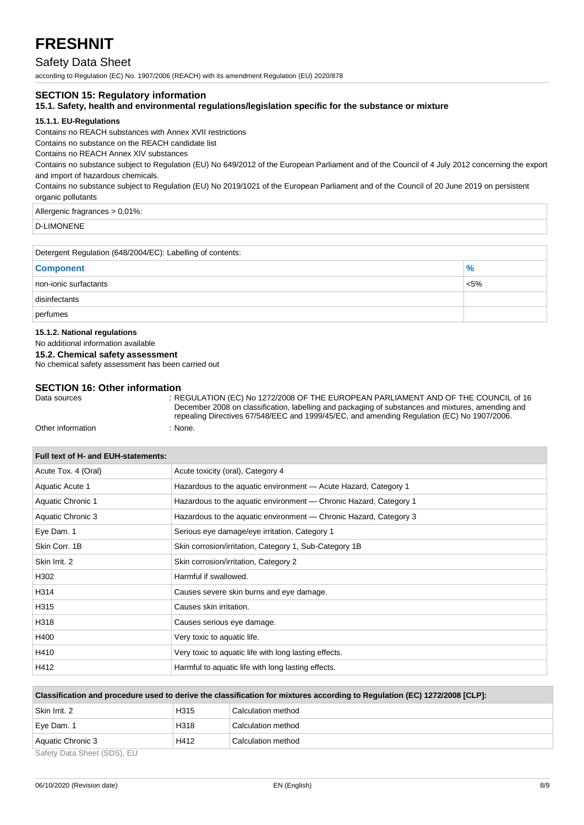### Safety Data Sheet

according to Regulation (EC) No. 1907/2006 (REACH) with its amendment Regulation (EU) 2020/878

#### **SECTION 15: Regulatory information**

#### **15.1. Safety, health and environmental regulations/legislation specific for the substance or mixture**

#### **15.1.1. EU-Regulations**

Contains no REACH substances with Annex XVII restrictions

Contains no substance on the REACH candidate list

Contains no REACH Annex XIV substances

Contains no substance subject to Regulation (EU) No 649/2012 of the European Parliament and of the Council of 4 July 2012 concerning the export and import of hazardous chemicals.

Contains no substance subject to Regulation (EU) No 2019/1021 of the European Parliament and of the Council of 20 June 2019 on persistent organic pollutants

| Allergenic fragrances > 0,01%: |  |
|--------------------------------|--|
|                                |  |

D-LIMONENE

| Detergent Regulation (648/2004/EC): Labelling of contents: |         |
|------------------------------------------------------------|---------|
| <b>Component</b>                                           | $\%$    |
| non-ionic surfactants                                      | $< 5\%$ |
| disinfectants                                              |         |
| perfumes                                                   |         |
|                                                            |         |

#### **15.1.2. National regulations**

No additional information available

**15.2. Chemical safety assessment**

No chemical safety assessment has been carried out

#### **SECTION 16: Other information**

Data sources : REGULATION (EC) No 1272/2008 OF THE EUROPEAN PARLIAMENT AND OF THE COUNCIL of 16 December 2008 on classification, labelling and packaging of substances and mixtures, amending and repealing Directives 67/548/EEC and 1999/45/EC, and amending Regulation (EC) No 1907/2006.

| Other information |
|-------------------|
|-------------------|

: None.

| Full text of H- and EUH-statements: |                                                                   |
|-------------------------------------|-------------------------------------------------------------------|
| Acute Tox. 4 (Oral)                 | Acute toxicity (oral), Category 4                                 |
| Aquatic Acute 1                     | Hazardous to the aquatic environment - Acute Hazard, Category 1   |
| Aquatic Chronic 1                   | Hazardous to the aquatic environment — Chronic Hazard, Category 1 |
| Aquatic Chronic 3                   | Hazardous to the aquatic environment — Chronic Hazard, Category 3 |
| Eye Dam. 1                          | Serious eye damage/eye irritation, Category 1                     |
| Skin Corr. 1B                       | Skin corrosion/irritation, Category 1, Sub-Category 1B            |
| Skin Irrit, 2                       | Skin corrosion/irritation, Category 2                             |
| H302                                | Harmful if swallowed.                                             |
| H314                                | Causes severe skin burns and eye damage.                          |
| H315                                | Causes skin irritation.                                           |
| H318                                | Causes serious eye damage.                                        |
| H400                                | Very toxic to aquatic life.                                       |
| H410                                | Very toxic to aquatic life with long lasting effects.             |
| H412                                | Harmful to aquatic life with long lasting effects.                |

| Classification and procedure used to derive the classification for mixtures according to Regulation (EC) 1272/2008 [CLP]: |      |                    |
|---------------------------------------------------------------------------------------------------------------------------|------|--------------------|
| Skin Irrit, 2                                                                                                             | H315 | Calculation method |
| Eye Dam. 1                                                                                                                | H318 | Calculation method |
| Aquatic Chronic 3                                                                                                         | H412 | Calculation method |
| Safety Data Sheet (SDS), EU                                                                                               |      |                    |